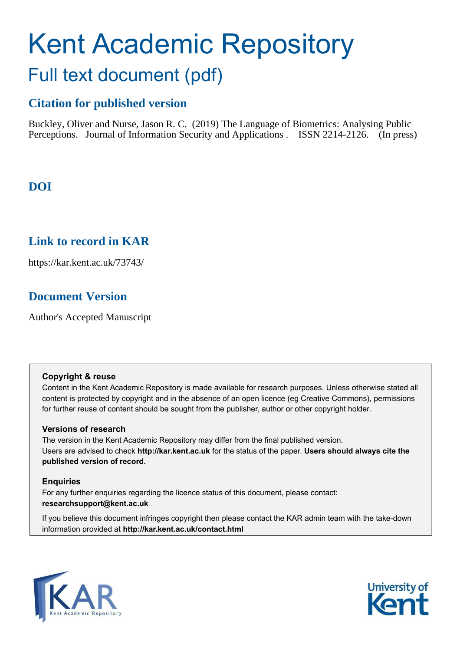# Kent Academic Repository Full text document (pdf)

# **Citation for published version**

Buckley, Oliver and Nurse, Jason R. C. (2019) The Language of Biometrics: Analysing Public Perceptions. Journal of Information Security and Applications . ISSN 2214-2126. (In press)

# **DOI**

## **Link to record in KAR**

https://kar.kent.ac.uk/73743/

# **Document Version**

Author's Accepted Manuscript

## **Copyright & reuse**

Content in the Kent Academic Repository is made available for research purposes. Unless otherwise stated all content is protected by copyright and in the absence of an open licence (eg Creative Commons), permissions for further reuse of content should be sought from the publisher, author or other copyright holder.

## **Versions of research**

The version in the Kent Academic Repository may differ from the final published version. Users are advised to check **http://kar.kent.ac.uk** for the status of the paper. **Users should always cite the published version of record.**

## **Enquiries**

For any further enquiries regarding the licence status of this document, please contact: **researchsupport@kent.ac.uk**

If you believe this document infringes copyright then please contact the KAR admin team with the take-down information provided at **http://kar.kent.ac.uk/contact.html**



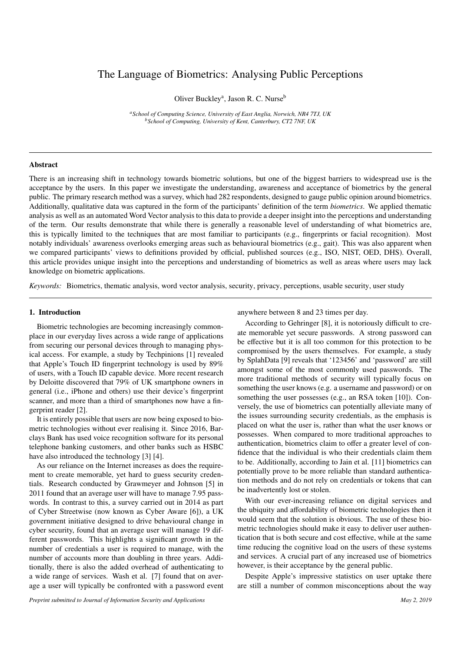## The Language of Biometrics: Analysing Public Perceptions

Oliver Buckley<sup>a</sup>, Jason R. C. Nurse<sup>b</sup>

*<sup>a</sup>School of Computing Science, University of East Anglia, Norwich, NR4 7TJ, UK <sup>b</sup>School of Computing, University of Kent, Canterbury, CT2 7NF, UK*

#### Abstract

There is an increasing shift in technology towards biometric solutions, but one of the biggest barriers to widespread use is the acceptance by the users. In this paper we investigate the understanding, awareness and acceptance of biometrics by the general public. The primary research method was a survey, which had 282 respondents, designed to gauge public opinion around biometrics. Additionally, qualitative data was captured in the form of the participants' definition of the term *biometrics*. We applied thematic analysis as well as an automated Word Vector analysis to this data to provide a deeper insight into the perceptions and understanding of the term. Our results demonstrate that while there is generally a reasonable level of understanding of what biometrics are, this is typically limited to the techniques that are most familiar to participants (e.g., fingerprints or facial recognition). Most notably individuals' awareness overlooks emerging areas such as behavioural biometrics (e.g., gait). This was also apparent when we compared participants' views to definitions provided by official, published sources (e.g., ISO, NIST, OED, DHS). Overall, this article provides unique insight into the perceptions and understanding of biometrics as well as areas where users may lack knowledge on biometric applications.

*Keywords:* Biometrics, thematic analysis, word vector analysis, security, privacy, perceptions, usable security, user study

#### 1. Introduction

Biometric technologies are becoming increasingly commonplace in our everyday lives across a wide range of applications from securing our personal devices through to managing physical access. For example, a study by Techpinions [1] revealed that Apple's Touch ID fingerprint technology is used by 89% of users, with a Touch ID capable device. More recent research by Deloitte discovered that 79% of UK smartphone owners in general (i.e., iPhone and others) use their device's fingerprint scanner, and more than a third of smartphones now have a fingerprint reader [2].

It is entirely possible that users are now being exposed to biometric technologies without ever realising it. Since 2016, Barclays Bank has used voice recognition software for its personal telephone banking customers, and other banks such as HSBC have also introduced the technology [3] [4].

As our reliance on the Internet increases as does the requirement to create memorable, yet hard to guess security credentials. Research conducted by Grawmeyer and Johnson [5] in 2011 found that an average user will have to manage 7.95 passwords. In contrast to this, a survey carried out in 2014 as part of Cyber Streetwise (now known as Cyber Aware [6]), a UK government initiative designed to drive behavioural change in cyber security, found that an average user will manage 19 different passwords. This highlights a significant growth in the number of credentials a user is required to manage, with the number of accounts more than doubling in three years. Additionally, there is also the added overhead of authenticating to a wide range of services. Wash et al. [7] found that on average a user will typically be confronted with a password event anywhere between 8 and 23 times per day.

According to Gehringer [8], it is notoriously difficult to create memorable yet secure passwords. A strong password can be effective but it is all too common for this protection to be compromised by the users themselves. For example, a study by SplahData [9] reveals that '123456' and 'password' are still amongst some of the most commonly used passwords. The more traditional methods of security will typically focus on something the user knows (e.g. a username and password) or on something the user possesses (e.g., an RSA token [10]). Conversely, the use of biometrics can potentially alleviate many of the issues surrounding security credentials, as the emphasis is placed on what the user is, rather than what the user knows or possesses. When compared to more traditional approaches to authentication, biometrics claim to offer a greater level of confidence that the individual is who their credentials claim them to be. Additionally, according to Jain et al. [11] biometrics can potentially prove to be more reliable than standard authentication methods and do not rely on credentials or tokens that can be inadvertently lost or stolen.

With our ever-increasing reliance on digital services and the ubiquity and affordability of biometric technologies then it would seem that the solution is obvious. The use of these biometric technologies should make it easy to deliver user authentication that is both secure and cost effective, while at the same time reducing the cognitive load on the users of these systems and services. A crucial part of any increased use of biometrics however, is their acceptance by the general public.

Despite Apple's impressive statistics on user uptake there are still a number of common misconceptions about the way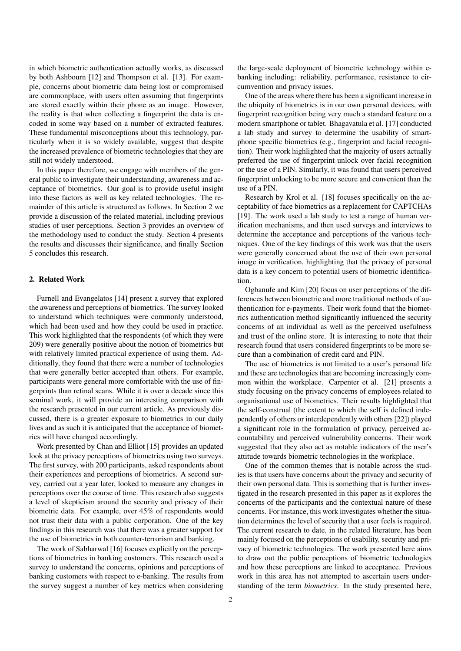in which biometric authentication actually works, as discussed by both Ashbourn [12] and Thompson et al. [13]. For example, concerns about biometric data being lost or compromised are commonplace, with users often assuming that fingerprints are stored exactly within their phone as an image. However, the reality is that when collecting a fingerprint the data is encoded in some way based on a number of extracted features. These fundamental misconceptions about this technology, particularly when it is so widely available, suggest that despite the increased prevalence of biometric technologies that they are still not widely understood.

In this paper therefore, we engage with members of the general public to investigate their understanding, awareness and acceptance of biometrics. Our goal is to provide useful insight into these factors as well as key related technologies. The remainder of this article is structured as follows. In Section 2 we provide a discussion of the related material, including previous studies of user perceptions. Section 3 provides an overview of the methodology used to conduct the study. Section 4 presents the results and discusses their significance, and finally Section 5 concludes this research.

#### 2. Related Work

Furnell and Evangelatos [14] present a survey that explored the awareness and perceptions of biometrics. The survey looked to understand which techniques were commonly understood, which had been used and how they could be used in practice. This work highlighted that the respondents (of which they were 209) were generally positive about the notion of biometrics but with relatively limited practical experience of using them. Additionally, they found that there were a number of technologies that were generally better accepted than others. For example, participants were general more comfortable with the use of fingerprints than retinal scans. While it is over a decade since this seminal work, it will provide an interesting comparison with the research presented in our current article. As previously discussed, there is a greater exposure to biometrics in our daily lives and as such it is anticipated that the acceptance of biometrics will have changed accordingly.

Work presented by Chan and Elliot [15] provides an updated look at the privacy perceptions of biometrics using two surveys. The first survey, with 200 participants, asked respondents about their experiences and perceptions of biometrics. A second survey, carried out a year later, looked to measure any changes in perceptions over the course of time. This research also suggests a level of skepticism around the security and privacy of their biometric data. For example, over 45% of respondents would not trust their data with a public corporation. One of the key findings in this research was that there was a greater support for the use of biometrics in both counter-terrorism and banking.

The work of Sabharwal [16] focuses explicitly on the perceptions of biometrics in banking customers. This research used a survey to understand the concerns, opinions and perceptions of banking customers with respect to e-banking. The results from the survey suggest a number of key metrics when considering

the large-scale deployment of biometric technology within ebanking including: reliability, performance, resistance to circumvention and privacy issues.

One of the areas where there has been a significant increase in the ubiquity of biometrics is in our own personal devices, with fingerprint recognition being very much a standard feature on a modern smartphone or tablet. Bhagavatula et al. [17] conducted a lab study and survey to determine the usability of smartphone specific biometrics (e.g., fingerprint and facial recognition). Their work highlighted that the majority of users actually preferred the use of fingerprint unlock over facial recognition or the use of a PIN. Similarly, it was found that users perceived fingerprint unlocking to be more secure and convenient than the use of a PIN.

Research by Krol et al. [18] focuses specifically on the acceptability of face biometrics as a replacement for CAPTCHAs [19]. The work used a lab study to test a range of human verification mechanisms, and then used surveys and interviews to determine the acceptance and perceptions of the various techniques. One of the key findings of this work was that the users were generally concerned about the use of their own personal image in verification, highlighting that the privacy of personal data is a key concern to potential users of biometric identification.

Ogbanufe and Kim [20] focus on user perceptions of the differences between biometric and more traditional methods of authentication for e-payments. Their work found that the biometrics authentication method significantly influenced the security concerns of an individual as well as the perceived usefulness and trust of the online store. It is interesting to note that their research found that users considered fingerprints to be more secure than a combination of credit card and PIN.

The use of biometrics is not limited to a user's personal life and these are technologies that are becoming increasingly common within the workplace. Carpenter et al. [21] presents a study focusing on the privacy concerns of employees related to organisational use of biometrics. Their results highlighted that the self-construal (the extent to which the self is defined independently of others or interdependently with others [22]) played a significant role in the formulation of privacy, perceived accountability and perceived vulnerability concerns. Their work suggested that they also act as notable indicators of the user's attitude towards biometric technologies in the workplace.

One of the common themes that is notable across the studies is that users have concerns about the privacy and security of their own personal data. This is something that is further investigated in the research presented in this paper as it explores the concerns of the participants and the contextual nature of these concerns. For instance, this work investigates whether the situation determines the level of security that a user feels is required. The current research to date, in the related literature, has been mainly focused on the perceptions of usability, security and privacy of biometric technologies. The work presented here aims to draw out the public perceptions of biometric technologies and how these perceptions are linked to acceptance. Previous work in this area has not attempted to ascertain users understanding of the term *biometrics*. In the study presented here,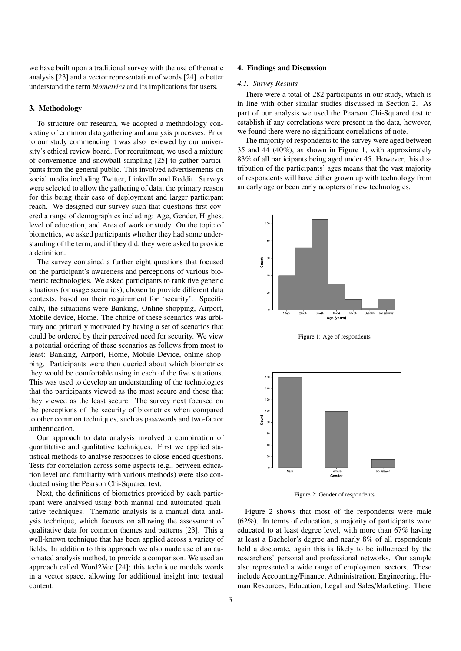we have built upon a traditional survey with the use of thematic analysis [23] and a vector representation of words [24] to better understand the term *biometrics* and its implications for users.

#### 3. Methodology

To structure our research, we adopted a methodology consisting of common data gathering and analysis processes. Prior to our study commencing it was also reviewed by our university's ethical review board. For recruitment, we used a mixture of convenience and snowball sampling [25] to gather participants from the general public. This involved advertisements on social media including Twitter, LinkedIn and Reddit. Surveys were selected to allow the gathering of data; the primary reason for this being their ease of deployment and larger participant reach. We designed our survey such that questions first covered a range of demographics including: Age, Gender, Highest level of education, and Area of work or study. On the topic of biometrics, we asked participants whether they had some understanding of the term, and if they did, they were asked to provide a definition.

The survey contained a further eight questions that focused on the participant's awareness and perceptions of various biometric technologies. We asked participants to rank five generic situations (or usage scenarios), chosen to provide different data contexts, based on their requirement for 'security'. Specifically, the situations were Banking, Online shopping, Airport, Mobile device, Home. The choice of these scenarios was arbitrary and primarily motivated by having a set of scenarios that could be ordered by their perceived need for security. We view a potential ordering of these scenarios as follows from most to least: Banking, Airport, Home, Mobile Device, online shopping. Participants were then queried about which biometrics they would be comfortable using in each of the five situations. This was used to develop an understanding of the technologies that the participants viewed as the most secure and those that they viewed as the least secure. The survey next focused on the perceptions of the security of biometrics when compared to other common techniques, such as passwords and two-factor authentication.

Our approach to data analysis involved a combination of quantitative and qualitative techniques. First we applied statistical methods to analyse responses to close-ended questions. Tests for correlation across some aspects (e.g., between education level and familiarity with various methods) were also conducted using the Pearson Chi-Squared test.

Next, the definitions of biometrics provided by each participant were analysed using both manual and automated qualitative techniques. Thematic analysis is a manual data analysis technique, which focuses on allowing the assessment of qualitative data for common themes and patterns [23]. This a well-known technique that has been applied across a variety of fields. In addition to this approach we also made use of an automated analysis method, to provide a comparison. We used an approach called Word2Vec [24]; this technique models words in a vector space, allowing for additional insight into textual content.

#### 4. Findings and Discussion

#### *4.1. Survey Results*

There were a total of 282 participants in our study, which is in line with other similar studies discussed in Section 2. As part of our analysis we used the Pearson Chi-Squared test to establish if any correlations were present in the data, however, we found there were no significant correlations of note.

The majority of respondents to the survey were aged between 35 and 44 (40%), as shown in Figure 1, with approximately 83% of all participants being aged under 45. However, this distribution of the participants' ages means that the vast majority of respondents will have either grown up with technology from an early age or been early adopters of new technologies.



Figure 1: Age of respondents



Figure 2: Gender of respondents

Figure 2 shows that most of the respondents were male (62%). In terms of education, a majority of participants were educated to at least degree level, with more than 67% having at least a Bachelor's degree and nearly 8% of all respondents held a doctorate, again this is likely to be influenced by the researchers' personal and professional networks. Our sample also represented a wide range of employment sectors. These include Accounting/Finance, Administration, Engineering, Human Resources, Education, Legal and Sales/Marketing. There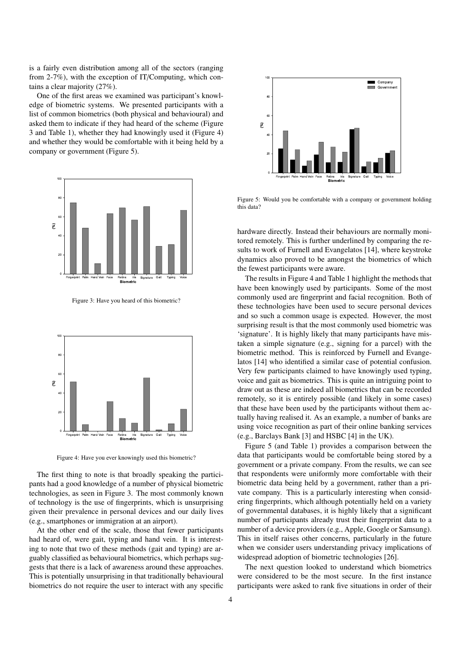is a fairly even distribution among all of the sectors (ranging from 2-7%), with the exception of IT/Computing, which contains a clear majority (27%).

One of the first areas we examined was participant's knowledge of biometric systems. We presented participants with a list of common biometrics (both physical and behavioural) and asked them to indicate if they had heard of the scheme (Figure 3 and Table 1), whether they had knowingly used it (Figure 4) and whether they would be comfortable with it being held by a company or government (Figure 5).



Figure 3: Have you heard of this biometric?



Figure 4: Have you ever knowingly used this biometric?

The first thing to note is that broadly speaking the participants had a good knowledge of a number of physical biometric technologies, as seen in Figure 3. The most commonly known of technology is the use of fingerprints, which is unsurprising given their prevalence in personal devices and our daily lives (e.g., smartphones or immigration at an airport).

At the other end of the scale, those that fewer participants had heard of, were gait, typing and hand vein. It is interesting to note that two of these methods (gait and typing) are arguably classified as behavioural biometrics, which perhaps suggests that there is a lack of awareness around these approaches. This is potentially unsurprising in that traditionally behavioural biometrics do not require the user to interact with any specific



Figure 5: Would you be comfortable with a company or government holding this data?

hardware directly. Instead their behaviours are normally monitored remotely. This is further underlined by comparing the results to work of Furnell and Evangelatos [14], where keystroke dynamics also proved to be amongst the biometrics of which the fewest participants were aware.

The results in Figure 4 and Table 1 highlight the methods that have been knowingly used by participants. Some of the most commonly used are fingerprint and facial recognition. Both of these technologies have been used to secure personal devices and so such a common usage is expected. However, the most surprising result is that the most commonly used biometric was 'signature'. It is highly likely that many participants have mistaken a simple signature (e.g., signing for a parcel) with the biometric method. This is reinforced by Furnell and Evangelatos [14] who identified a similar case of potential confusion. Very few participants claimed to have knowingly used typing, voice and gait as biometrics. This is quite an intriguing point to draw out as these are indeed all biometrics that can be recorded remotely, so it is entirely possible (and likely in some cases) that these have been used by the participants without them actually having realised it. As an example, a number of banks are using voice recognition as part of their online banking services (e.g., Barclays Bank [3] and HSBC [4] in the UK).

Figure 5 (and Table 1) provides a comparison between the data that participants would be comfortable being stored by a government or a private company. From the results, we can see that respondents were uniformly more comfortable with their biometric data being held by a government, rather than a private company. This is a particularly interesting when considering fingerprints, which although potentially held on a variety of governmental databases, it is highly likely that a significant number of participants already trust their fingerprint data to a number of a device providers (e.g., Apple, Google or Samsung). This in itself raises other concerns, particularly in the future when we consider users understanding privacy implications of widespread adoption of biometric technologies [26].

The next question looked to understand which biometrics were considered to be the most secure. In the first instance participants were asked to rank five situations in order of their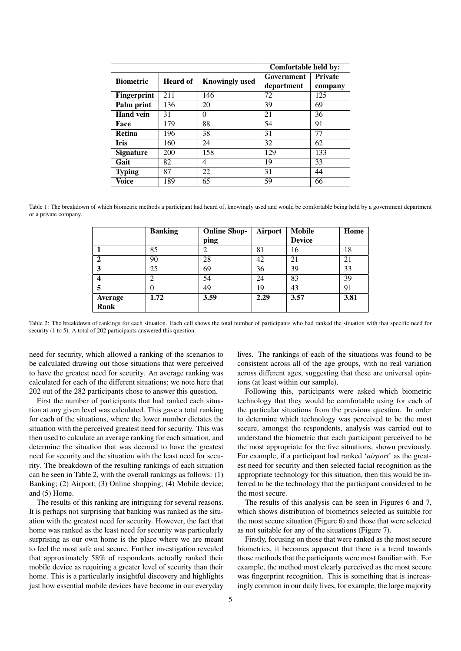|                    |          |                       |            | Comfortable held by: |  |  |
|--------------------|----------|-----------------------|------------|----------------------|--|--|
| <b>Biometric</b>   | Heard of | <b>Knowingly used</b> | Government | <b>Private</b>       |  |  |
|                    |          |                       | department | company              |  |  |
| <b>Fingerprint</b> | 211      | 146                   | 72         | 125                  |  |  |
| Palm print         | 136      | 20                    | 39         | 69                   |  |  |
| <b>Hand vein</b>   | 31       | $\Omega$              | 21         | 36                   |  |  |
| Face               | 179      | 88                    | 54         | 91                   |  |  |
| <b>Retina</b>      | 196      | 38                    | 31         | 77                   |  |  |
| <b>Iris</b>        | 160      | 24                    | 32         | 62                   |  |  |
| <b>Signature</b>   | 200      | 158                   | 129        | 133                  |  |  |
| Gait               | 82       | 4                     | 19         | 33                   |  |  |
| <b>Typing</b>      | 87       | 22                    | 31         | 44                   |  |  |
| Voice              | 189      | 65                    | 59         | 66                   |  |  |

Table 1: The breakdown of which biometric methods a participant had heard of, knowingly used and would be comfortable being held by a government department or a private company.

|                | <b>Banking</b> | <b>Online Shop-</b> | Airport | <b>Mobile</b> | Home |
|----------------|----------------|---------------------|---------|---------------|------|
|                |                | ping                |         | <b>Device</b> |      |
|                | 85             | $\mathfrak{D}$      | 81      | 16            | 18   |
| $\mathbf{2}$   | 90             | 28                  | 42      | 21            | 21   |
| 3              | 25             | 69                  | 36      | 39            | 33   |
|                | ി              | 54                  | 24      | 83            | 39   |
| 5              | 0              | 49                  | 19      | 43            | 91   |
| <b>Average</b> | 1.72           | 3.59                | 2.29    | 3.57          | 3.81 |
| Rank           |                |                     |         |               |      |

Table 2: The breakdown of rankings for each situation. Each cell shows the total number of participants who had ranked the situation with that specific need for security (1 to 5). A total of 202 participants answered this question.

need for security, which allowed a ranking of the scenarios to be calculated drawing out those situations that were perceived to have the greatest need for security. An average ranking was calculated for each of the different situations; we note here that 202 out of the 282 participants chose to answer this question.

First the number of participants that had ranked each situation at any given level was calculated. This gave a total ranking for each of the situations, where the lower number dictates the situation with the perceived greatest need for security. This was then used to calculate an average ranking for each situation, and determine the situation that was deemed to have the greatest need for security and the situation with the least need for security. The breakdown of the resulting rankings of each situation can be seen in Table 2, with the overall rankings as follows: (1) Banking; (2) Airport; (3) Online shopping; (4) Mobile device; and (5) Home.

The results of this ranking are intriguing for several reasons. It is perhaps not surprising that banking was ranked as the situation with the greatest need for security. However, the fact that home was ranked as the least need for security was particularly surprising as our own home is the place where we are meant to feel the most safe and secure. Further investigation revealed that approximately 58% of respondents actually ranked their mobile device as requiring a greater level of security than their home. This is a particularly insightful discovery and highlights just how essential mobile devices have become in our everyday

lives. The rankings of each of the situations was found to be consistent across all of the age groups, with no real variation across different ages, suggesting that these are universal opinions (at least within our sample).

Following this, participants were asked which biometric technology that they would be comfortable using for each of the particular situations from the previous question. In order to determine which technology was perceived to be the most secure, amongst the respondents, analysis was carried out to understand the biometric that each participant perceived to be the most appropriate for the five situations, shown previously. For example, if a participant had ranked '*airport*' as the greatest need for security and then selected facial recognition as the appropriate technology for this situation, then this would be inferred to be the technology that the participant considered to be the most secure.

The results of this analysis can be seen in Figures 6 and 7, which shows distribution of biometrics selected as suitable for the most secure situation (Figure 6) and those that were selected as not suitable for any of the situations (Figure 7).

Firstly, focusing on those that were ranked as the most secure biometrics, it becomes apparent that there is a trend towards those methods that the participants were most familiar with. For example, the method most clearly perceived as the most secure was fingerprint recognition. This is something that is increasingly common in our daily lives, for example, the large majority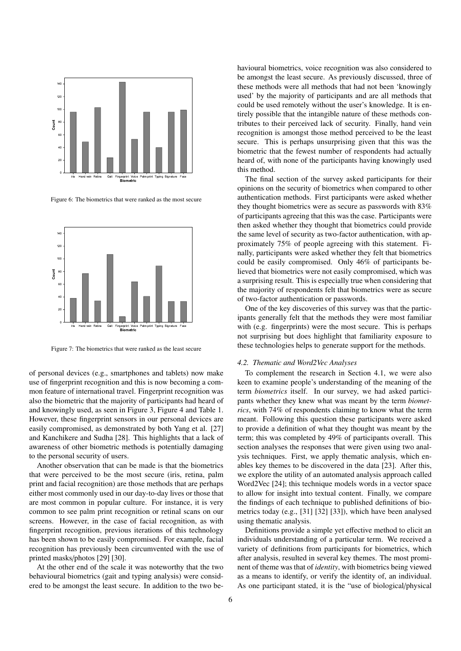

Figure 6: The biometrics that were ranked as the most secure



Figure 7: The biometrics that were ranked as the least secure

of personal devices (e.g., smartphones and tablets) now make use of fingerprint recognition and this is now becoming a common feature of international travel. Fingerprint recognition was also the biometric that the majority of participants had heard of and knowingly used, as seen in Figure 3, Figure 4 and Table 1. However, these fingerprint sensors in our personal devices are easily compromised, as demonstrated by both Yang et al. [27] and Kanchikere and Sudha [28]. This highlights that a lack of awareness of other biometric methods is potentially damaging to the personal security of users.

Another observation that can be made is that the biometrics that were perceived to be the most secure (iris, retina, palm print and facial recognition) are those methods that are perhaps either most commonly used in our day-to-day lives or those that are most common in popular culture. For instance, it is very common to see palm print recognition or retinal scans on our screens. However, in the case of facial recognition, as with fingerprint recognition, previous iterations of this technology has been shown to be easily compromised. For example, facial recognition has previously been circumvented with the use of printed masks/photos [29] [30].

At the other end of the scale it was noteworthy that the two behavioural biometrics (gait and typing analysis) were considered to be amongst the least secure. In addition to the two behavioural biometrics, voice recognition was also considered to be amongst the least secure. As previously discussed, three of these methods were all methods that had not been 'knowingly used' by the majority of participants and are all methods that could be used remotely without the user's knowledge. It is entirely possible that the intangible nature of these methods contributes to their perceived lack of security. Finally, hand vein recognition is amongst those method perceived to be the least secure. This is perhaps unsurprising given that this was the biometric that the fewest number of respondents had actually heard of, with none of the participants having knowingly used this method.

The final section of the survey asked participants for their opinions on the security of biometrics when compared to other authentication methods. First participants were asked whether they thought biometrics were as secure as passwords with 83% of participants agreeing that this was the case. Participants were then asked whether they thought that biometrics could provide the same level of security as two-factor authentication, with approximately 75% of people agreeing with this statement. Finally, participants were asked whether they felt that biometrics could be easily compromised. Only 46% of participants believed that biometrics were not easily compromised, which was a surprising result. This is especially true when considering that the majority of respondents felt that biometrics were as secure of two-factor authentication or passwords.

One of the key discoveries of this survey was that the participants generally felt that the methods they were most familiar with (e.g. fingerprints) were the most secure. This is perhaps not surprising but does highlight that familiarity exposure to these technologies helps to generate support for the methods.

#### *4.2. Thematic and Word2Vec Analyses*

To complement the research in Section 4.1, we were also keen to examine people's understanding of the meaning of the term *biometrics* itself. In our survey, we had asked participants whether they knew what was meant by the term *biometrics*, with 74% of respondents claiming to know what the term meant. Following this question these participants were asked to provide a definition of what they thought was meant by the term; this was completed by 49% of participants overall. This section analyses the responses that were given using two analysis techniques. First, we apply thematic analysis, which enables key themes to be discovered in the data [23]. After this, we explore the utility of an automated analysis approach called Word2Vec [24]; this technique models words in a vector space to allow for insight into textual content. Finally, we compare the findings of each technique to published definitions of biometrics today (e.g., [31] [32] [33]), which have been analysed using thematic analysis.

Definitions provide a simple yet effective method to elicit an individuals understanding of a particular term. We received a variety of definitions from participants for biometrics, which after analysis, resulted in several key themes. The most prominent of theme was that of *identity*, with biometrics being viewed as a means to identify, or verify the identity of, an individual. As one participant stated, it is the "use of biological/physical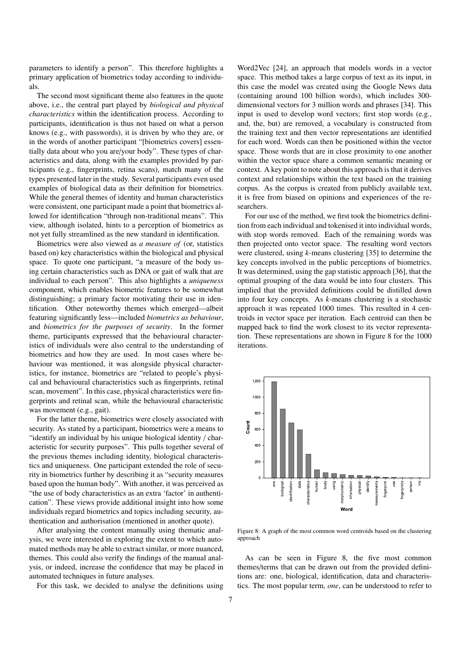parameters to identify a person". This therefore highlights a primary application of biometrics today according to individuals.

The second most significant theme also features in the quote above, i.e., the central part played by *biological and physical characteristics* within the identification process. According to participants, identification is thus not based on what a person knows (e.g., with passwords), it is driven by who they are, or in the words of another participant "[biometrics covers] essentially data about who you are/your body". These types of characteristics and data, along with the examples provided by participants (e.g., fingerprints, retina scans), match many of the types presented later in the study. Several participants even used examples of biological data as their definition for biometrics. While the general themes of identity and human characteristics were consistent, one participant made a point that biometrics allowed for identification "through non-traditional means". This view, although isolated, hints to a perception of biometrics as not yet fully streamlined as the new standard in identification.

Biometrics were also viewed as *a measure of* (or, statistics based on) key characteristics within the biological and physical space. To quote one participant, "a measure of the body using certain characteristics such as DNA or gait of walk that are individual to each person". This also highlights a *uniqueness* component, which enables biometric features to be somewhat distinguishing; a primary factor motivating their use in identification. Other noteworthy themes which emerged—albeit featuring significantly less—included *biometrics as behaviour*, and *biometrics for the purposes of security*. In the former theme, participants expressed that the behavioural characteristics of individuals were also central to the understanding of biometrics and how they are used. In most cases where behaviour was mentioned, it was alongside physical characteristics, for instance, biometrics are "related to people's physical and behavioural characteristics such as fingerprints, retinal scan, movement". In this case, physical characteristics were fingerprints and retinal scan, while the behavioural characteristic was movement (e.g., gait).

For the latter theme, biometrics were closely associated with security. As stated by a participant, biometrics were a means to "identify an individual by his unique biological identity / characteristic for security purposes". This pulls together several of the previous themes including identity, biological characteristics and uniqueness. One participant extended the role of security in biometrics further by describing it as "security measures based upon the human body". With another, it was perceived as "the use of body characteristics as an extra 'factor' in authentication". These views provide additional insight into how some individuals regard biometrics and topics including security, authentication and authorisation (mentioned in another quote).

After analysing the content manually using thematic analysis, we were interested in exploring the extent to which automated methods may be able to extract similar, or more nuanced, themes. This could also verify the findings of the manual analysis, or indeed, increase the confidence that may be placed in automated techniques in future analyses.

For this task, we decided to analyse the definitions using

Word2Vec [24], an approach that models words in a vector space. This method takes a large corpus of text as its input, in this case the model was created using the Google News data (containing around 100 billion words), which includes 300 dimensional vectors for 3 million words and phrases [34]. This input is used to develop word vectors; first stop words (e.g., and, the, but) are removed, a vocabulary is constructed from the training text and then vector representations are identified for each word. Words can then be positioned within the vector space. Those words that are in close proximity to one another within the vector space share a common semantic meaning or context. A key point to note about this approach is that it derives context and relationships within the text based on the training corpus. As the corpus is created from publicly available text, it is free from biased on opinions and experiences of the researchers.

For our use of the method, we first took the biometrics definition from each individual and tokenised it into individual words, with stop words removed. Each of the remaining words was then projected onto vector space. The resulting word vectors were clustered, using *k*-means clustering [35] to determine the key concepts involved in the public perceptions of biometrics. It was determined, using the gap statistic approach [36], that the optimal grouping of the data would be into four clusters. This implied that the provided definitions could be distilled down into four key concepts. As *k*-means clustering is a stochastic approach it was repeated 1000 times. This resulted in 4 centroids in vector space per iteration. Each centroid can then be mapped back to find the work closest to its vector representation. These representations are shown in Figure 8 for the 1000 iterations.



Figure 8: A graph of the most common word centroids based on the clustering approach

As can be seen in Figure 8, the five most common themes/terms that can be drawn out from the provided definitions are: one, biological, identification, data and characteristics. The most popular term, *one*, can be understood to refer to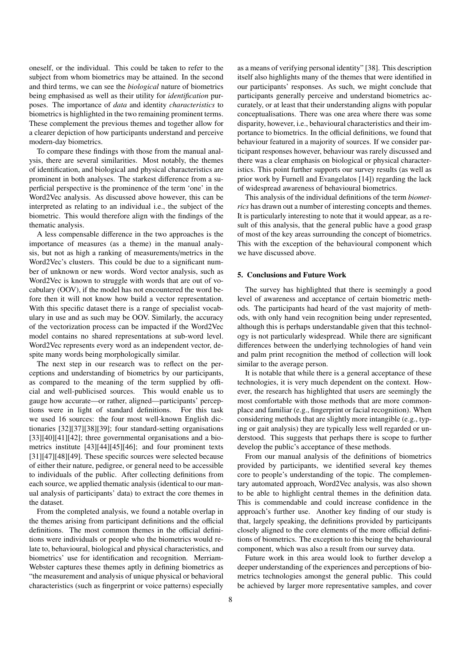oneself, or the individual. This could be taken to refer to the subject from whom biometrics may be attained. In the second and third terms, we can see the *biological* nature of biometrics being emphasised as well as their utility for *identification* purposes. The importance of *data* and identity *characteristics* to biometrics is highlighted in the two remaining prominent terms. These complement the previous themes and together allow for a clearer depiction of how participants understand and perceive modern-day biometrics.

To compare these findings with those from the manual analysis, there are several similarities. Most notably, the themes of identification, and biological and physical characteristics are prominent in both analyses. The starkest difference from a superficial perspective is the prominence of the term 'one' in the Word2Vec analysis. As discussed above however, this can be interpreted as relating to an individual i.e., the subject of the biometric. This would therefore align with the findings of the thematic analysis.

A less compensable difference in the two approaches is the importance of measures (as a theme) in the manual analysis, but not as high a ranking of measurements/metrics in the Word2Vec's clusters. This could be due to a significant number of unknown or new words. Word vector analysis, such as Word2Vec is known to struggle with words that are out of vocabulary (OOV), if the model has not encountered the word before then it will not know how build a vector representation. With this specific dataset there is a range of specialist vocabulary in use and as such may be OOV. Similarly, the accuracy of the vectorization process can be impacted if the Word2Vec model contains no shared representations at sub-word level. Word2Vec represents every word as an independent vector, despite many words being morphologically similar.

The next step in our research was to reflect on the perceptions and understanding of biometrics by our participants, as compared to the meaning of the term supplied by official and well-publicised sources. This would enable us to gauge how accurate—or rather, aligned—participants' perceptions were in light of standard definitions. For this task we used 16 sources: the four most well-known English dictionaries [32][37][38][39]; four standard-setting organisations [33][40][41][42]; three governmental organisations and a biometrics institute [43][44][45][46]; and four prominent texts [31][47][48][49]. These specific sources were selected because of either their nature, pedigree, or general need to be accessible to individuals of the public. After collecting definitions from each source, we applied thematic analysis (identical to our manual analysis of participants' data) to extract the core themes in the dataset.

From the completed analysis, we found a notable overlap in the themes arising from participant definitions and the official definitions. The most common themes in the official definitions were individuals or people who the biometrics would relate to, behavioural, biological and physical characteristics, and biometrics' use for identification and recognition. Merriam-Webster captures these themes aptly in defining biometrics as "the measurement and analysis of unique physical or behavioral characteristics (such as fingerprint or voice patterns) especially

as a means of verifying personal identity" [38]. This description itself also highlights many of the themes that were identified in our participants' responses. As such, we might conclude that participants generally perceive and understand biometrics accurately, or at least that their understanding aligns with popular conceptualisations. There was one area where there was some disparity, however, i.e., behavioural characteristics and their importance to biometrics. In the official definitions, we found that behaviour featured in a majority of sources. If we consider participant responses however, behaviour was rarely discussed and there was a clear emphasis on biological or physical characteristics. This point further supports our survey results (as well as prior work by Furnell and Evangelatos [14]) regarding the lack of widespread awareness of behavioural biometrics.

This analysis of the individual definitions of the term *biometrics* has drawn out a number of interesting concepts and themes. It is particularly interesting to note that it would appear, as a result of this analysis, that the general public have a good grasp of most of the key areas surrounding the concept of biometrics. This with the exception of the behavioural component which we have discussed above.

#### 5. Conclusions and Future Work

The survey has highlighted that there is seemingly a good level of awareness and acceptance of certain biometric methods. The participants had heard of the vast majority of methods, with only hand vein recognition being under represented, although this is perhaps understandable given that this technology is not particularly widespread. While there are significant differences between the underlying technologies of hand vein and palm print recognition the method of collection will look similar to the average person.

It is notable that while there is a general acceptance of these technologies, it is very much dependent on the context. However, the research has highlighted that users are seemingly the most comfortable with those methods that are more commonplace and familiar (e.g., fingerprint or facial recognition). When considering methods that are slightly more intangible (e.g., typing or gait analysis) they are typically less well regarded or understood. This suggests that perhaps there is scope to further develop the public's acceptance of these methods.

From our manual analysis of the definitions of biometrics provided by participants, we identified several key themes core to people's understanding of the topic. The complementary automated approach, Word2Vec analysis, was also shown to be able to highlight central themes in the definition data. This is commendable and could increase confidence in the approach's further use. Another key finding of our study is that, largely speaking, the definitions provided by participants closely aligned to the core elements of the more official definitions of biometrics. The exception to this being the behavioural component, which was also a result from our survey data.

Future work in this area would look to further develop a deeper understanding of the experiences and perceptions of biometrics technologies amongst the general public. This could be achieved by larger more representative samples, and cover